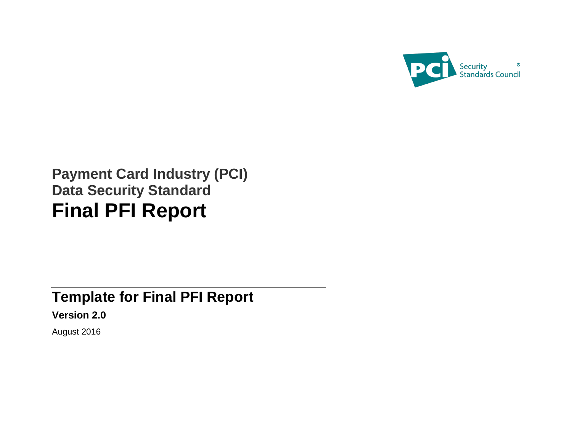

# **Payment Card Industry (PCI) Data Security Standard Final PFI Report**

# **Template for Final PFI Report Version 2.0**

August 2016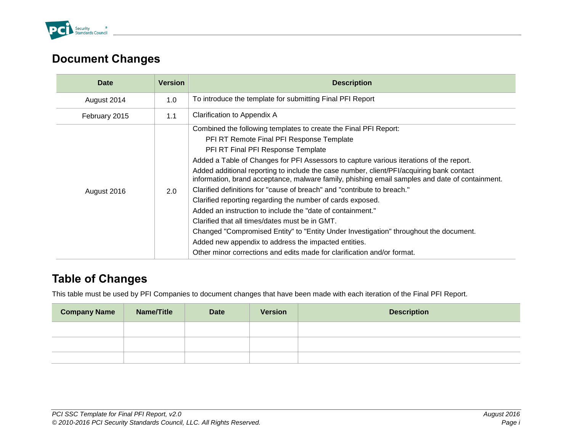

# <span id="page-1-0"></span>**Document Changes**

| Date          | <b>Version</b> | <b>Description</b>                                                                                                                                                                         |
|---------------|----------------|--------------------------------------------------------------------------------------------------------------------------------------------------------------------------------------------|
| August 2014   | 1.0            | To introduce the template for submitting Final PFI Report                                                                                                                                  |
| February 2015 | 1.1            | Clarification to Appendix A                                                                                                                                                                |
|               |                | Combined the following templates to create the Final PFI Report:                                                                                                                           |
|               |                | PFI RT Remote Final PFI Response Template                                                                                                                                                  |
|               |                | PFI RT Final PFI Response Template                                                                                                                                                         |
|               | 2.0            | Added a Table of Changes for PFI Assessors to capture various iterations of the report.                                                                                                    |
|               |                | Added additional reporting to include the case number, client/PFI/acquiring bank contact<br>information, brand acceptance, malware family, phishing email samples and date of containment. |
| August 2016   |                | Clarified definitions for "cause of breach" and "contribute to breach."                                                                                                                    |
|               |                | Clarified reporting regarding the number of cards exposed.                                                                                                                                 |
|               |                | Added an instruction to include the "date of containment."                                                                                                                                 |
|               |                | Clarified that all times/dates must be in GMT.                                                                                                                                             |
|               |                | Changed "Compromised Entity" to "Entity Under Investigation" throughout the document.                                                                                                      |
|               |                | Added new appendix to address the impacted entities.                                                                                                                                       |
|               |                | Other minor corrections and edits made for clarification and/or format.                                                                                                                    |

# <span id="page-1-1"></span>**Table of Changes**

This table must be used by PFI Companies to document changes that have been made with each iteration of the Final PFI Report.

| <b>Company Name</b> | Name/Title | <b>Date</b> | <b>Version</b> | <b>Description</b> |
|---------------------|------------|-------------|----------------|--------------------|
|                     |            |             |                |                    |
|                     |            |             |                |                    |
|                     |            |             |                |                    |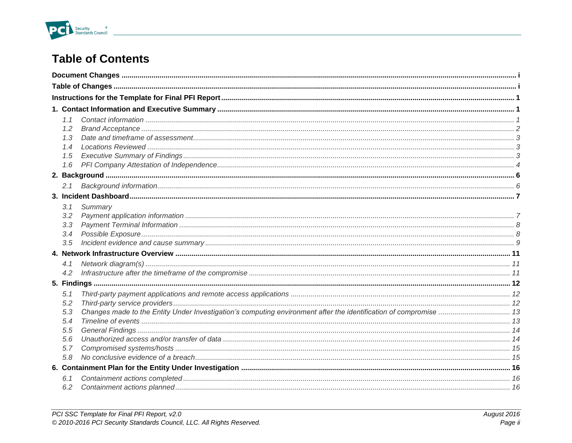

# **Table of Contents**

| 1.2<br>1.3<br>1.4<br>1.5        |         |  |
|---------------------------------|---------|--|
| 1.6                             |         |  |
| 2.1                             |         |  |
| 3.1<br>3.2<br>3.3<br>3.4<br>3.5 | Summary |  |
|                                 |         |  |
| 4.1<br>4.2                      |         |  |
|                                 |         |  |
| 5.1<br>5.2<br>5.3               |         |  |
| 5.4<br>5.5                      |         |  |
| 5.6<br>5.7<br>5.8               |         |  |
|                                 |         |  |
| 6.1<br>6.2                      |         |  |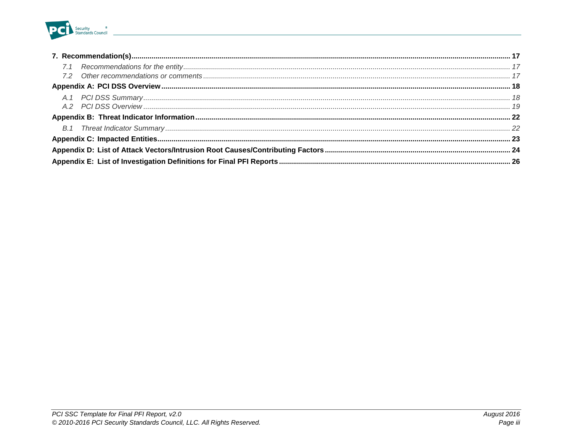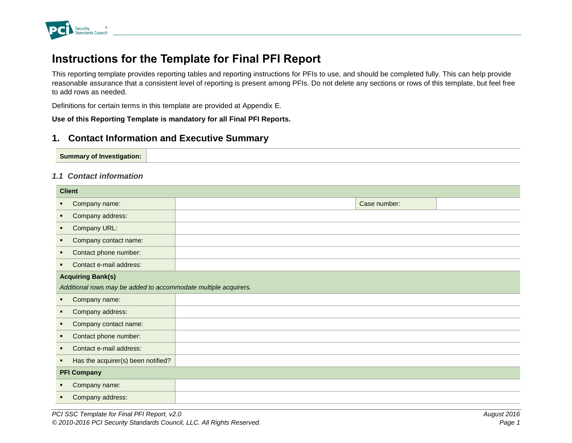

# <span id="page-4-0"></span>**Instructions for the Template for Final PFI Report**

This reporting template provides reporting tables and reporting instructions for PFIs to use, and should be completed fully. This can help provide reasonable assurance that a consistent level of reporting is present among PFIs. Do not delete any sections or rows of this template, but feel free to add rows as needed.

Definitions for certain terms in this template are provided at Appendix E.

**Use of this Reporting Template is mandatory for all Final PFI Reports.**

# <span id="page-4-1"></span>**1. Contact Information and Executive Summary**

#### <span id="page-4-2"></span>*1.1 Contact information*

| <b>Client</b>                                                   |  |              |  |  |
|-----------------------------------------------------------------|--|--------------|--|--|
| Company name:<br>٠                                              |  | Case number: |  |  |
| Company address:<br>٠                                           |  |              |  |  |
| Company URL:<br>٠                                               |  |              |  |  |
| Company contact name:<br>٠                                      |  |              |  |  |
| Contact phone number:<br>٠                                      |  |              |  |  |
| Contact e-mail address:<br>٠                                    |  |              |  |  |
| <b>Acquiring Bank(s)</b>                                        |  |              |  |  |
| Additional rows may be added to accommodate multiple acquirers. |  |              |  |  |
| Company name:<br>٠                                              |  |              |  |  |
| Company address:<br>٠                                           |  |              |  |  |
| Company contact name:<br>٠                                      |  |              |  |  |
| Contact phone number:<br>$\blacksquare$                         |  |              |  |  |
| Contact e-mail address:<br>$\blacksquare$                       |  |              |  |  |
| Has the acquirer(s) been notified?<br>٠                         |  |              |  |  |
| <b>PFI Company</b>                                              |  |              |  |  |
| Company name:<br>٠                                              |  |              |  |  |
| Company address:                                                |  |              |  |  |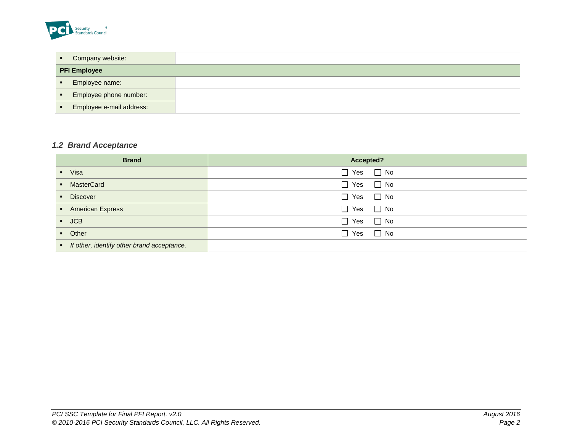

|                               | • Company website:       |  |
|-------------------------------|--------------------------|--|
|                               | <b>PFI Employee</b>      |  |
| $\mathbf{H}=\mathbf{0}$       | Employee name:           |  |
| $\mathbf{R}^{\text{max}}$     | Employee phone number:   |  |
| $\mathbf{R} \in \mathbb{R}^n$ | Employee e-mail address: |  |

# <span id="page-5-0"></span>*1.2 Brand Acceptance*

| <b>Brand</b>                                 | Accepted?            |
|----------------------------------------------|----------------------|
| • Visa                                       | $\Box$ Yes $\Box$ No |
| • MasterCard                                 | $\Box$ Yes $\Box$ No |
| <b>Discover</b>                              | $\Box$ Yes $\Box$ No |
| • American Express                           | $\Box$ Yes $\Box$ No |
| $\blacksquare$ JCB                           | $\Box$ Yes $\Box$ No |
| • Other                                      | $\Box$ Yes $\Box$ No |
| • If other, identify other brand acceptance. |                      |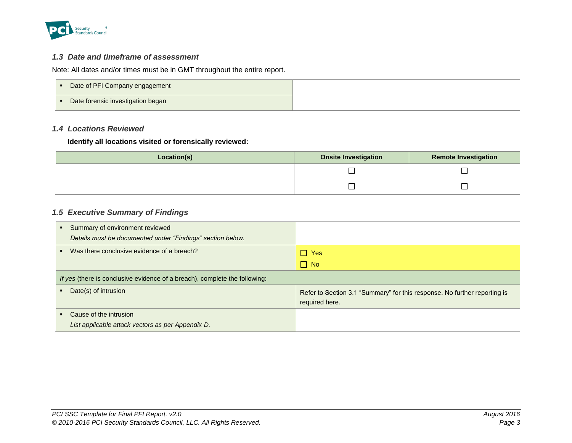

### <span id="page-6-0"></span>*1.3 Date and timeframe of assessment*

Note: All dates and/or times must be in GMT throughout the entire report.

|     | Date of PFI Company engagement    |  |
|-----|-----------------------------------|--|
| . . | Date forensic investigation began |  |

# <span id="page-6-1"></span>*1.4 Locations Reviewed*

#### **Identify all locations visited or forensically reviewed:**

| Location(s) | <b>Onsite Investigation</b> | <b>Remote Investigation</b> |
|-------------|-----------------------------|-----------------------------|
|             |                             |                             |
|             |                             |                             |

### <span id="page-6-2"></span>*1.5 Executive Summary of Findings*

| Summary of environment reviewed<br>$\blacksquare$<br>Details must be documented under "Findings" section below. |                                                                                             |  |
|-----------------------------------------------------------------------------------------------------------------|---------------------------------------------------------------------------------------------|--|
| Was there conclusive evidence of a breach?<br>$\blacksquare$                                                    | $\Box$ Yes                                                                                  |  |
|                                                                                                                 | $\Box$ No                                                                                   |  |
| If yes (there is conclusive evidence of a breach), complete the following:                                      |                                                                                             |  |
| Date(s) of intrusion                                                                                            | Refer to Section 3.1 "Summary" for this response. No further reporting is<br>required here. |  |
| Cause of the intrusion                                                                                          |                                                                                             |  |
| List applicable attack vectors as per Appendix D.                                                               |                                                                                             |  |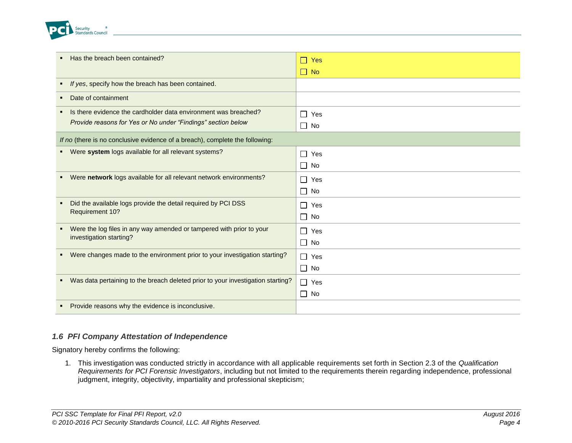

| Has the breach been contained?                                                       | Yes<br>H   |
|--------------------------------------------------------------------------------------|------------|
|                                                                                      | $\Box$ No  |
| If yes, specify how the breach has been contained.                                   |            |
| Date of containment                                                                  |            |
| Is there evidence the cardholder data environment was breached?                      | $\Box$ Yes |
| Provide reasons for Yes or No under "Findings" section below                         | $\Box$ No  |
| If no (there is no conclusive evidence of a breach), complete the following:         |            |
| Were system logs available for all relevant systems?<br>. .                          | $\Box$ Yes |
|                                                                                      | $\Box$ No  |
| Were network logs available for all relevant network environments?<br>$\blacksquare$ | $\Box$ Yes |
|                                                                                      | $\Box$ No  |
| Did the available logs provide the detail required by PCI DSS<br>$\blacksquare$      | $\Box$ Yes |
| Requirement 10?                                                                      | $\Box$ No  |
| Were the log files in any way amended or tampered with prior to your<br>٠            | $\Box$ Yes |
| investigation starting?                                                              | $\Box$ No  |
| Were changes made to the environment prior to your investigation starting?           | $\Box$ Yes |
|                                                                                      | $\Box$ No  |
| Was data pertaining to the breach deleted prior to your investigation starting?      | $\Box$ Yes |
|                                                                                      | $\Box$ No  |
| Provide reasons why the evidence is inconclusive.                                    |            |

#### <span id="page-7-0"></span>*1.6 PFI Company Attestation of Independence*

Signatory hereby confirms the following:

1. This investigation was conducted strictly in accordance with all applicable requirements set forth in Section 2.3 of the *Qualification Requirements for PCI Forensic Investigators*, including but not limited to the requirements therein regarding independence, professional judgment, integrity, objectivity, impartiality and professional skepticism;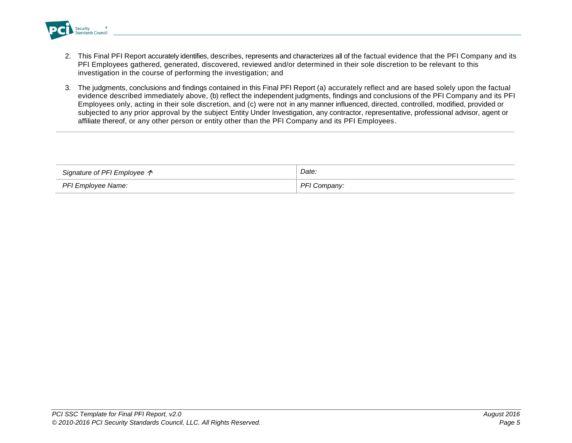

- 2. This Final PFI Report accurately identifies, describes, represents and characterizes all of the factual evidence that the PFI Company and its PFI Employees gathered, generated, discovered, reviewed and/or determined in their sole discretion to be relevant to this investigation in the course of performing the investigation; and
- 3. The judgments, conclusions and findings contained in this Final PFI Report (a) accurately reflect and are based solely upon the factual evidence described immediately above, (b) reflect the independent judgments, findings and conclusions of the PFI Company and its PFI Employees only, acting in their sole discretion, and (c) were not in any manner influenced, directed, controlled, modified, provided or subjected to any prior approval by the subject Entity Under Investigation, any contractor, representative, professional advisor, agent or affiliate thereof, or any other person or entity other than the PFI Company and its PFI Employees.

| Signature of PFI Employee $\uparrow$ | Date:          |
|--------------------------------------|----------------|
| PFI Employee Name:                   | DE<br>Company: |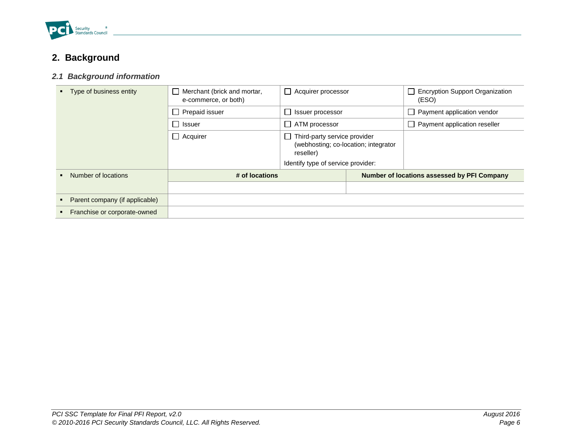

# <span id="page-9-0"></span>**2. Background**

# <span id="page-9-1"></span>*2.1 Background information*

| Franchise or corporate-owned   |                                                     |                                                                                   |  |                                                 |
|--------------------------------|-----------------------------------------------------|-----------------------------------------------------------------------------------|--|-------------------------------------------------|
| Parent company (if applicable) |                                                     |                                                                                   |  |                                                 |
| Number of locations            | # of locations                                      |                                                                                   |  | Number of locations assessed by PFI Company     |
|                                |                                                     | Identify type of service provider:                                                |  |                                                 |
|                                | $\Box$ Acquirer                                     | Third-party service provider<br>(webhosting: co-location: integrator<br>reseller) |  |                                                 |
|                                | Issuer                                              | $\Box$ ATM processor                                                              |  | Payment application reseller                    |
|                                | Prepaid issuer                                      | Issuer processor                                                                  |  | Payment application vendor                      |
| Type of business entity        | Merchant (brick and mortar,<br>e-commerce, or both) | Acquirer processor<br>$\mathsf{L}$                                                |  | <b>Encryption Support Organization</b><br>(ESO) |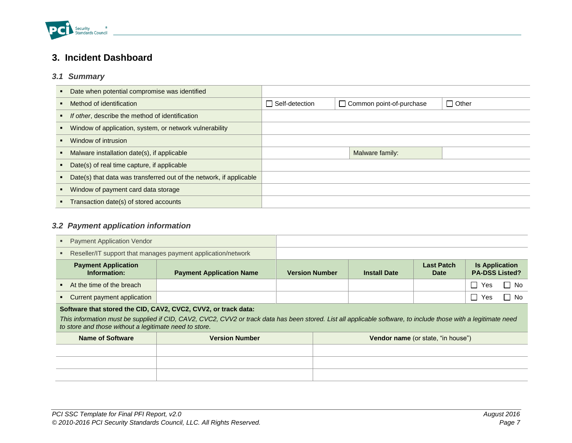

# <span id="page-10-0"></span>**3. Incident Dashboard**

# <span id="page-10-1"></span>*3.1 Summary*

| Date when potential compromise was identified                       |                       |                            |              |
|---------------------------------------------------------------------|-----------------------|----------------------------|--------------|
| Method of identification                                            | $\Box$ Self-detection | □ Common point-of-purchase | $\Box$ Other |
| If other, describe the method of identification                     |                       |                            |              |
| Window of application, system, or network vulnerability             |                       |                            |              |
| Window of intrusion                                                 |                       |                            |              |
| Malware installation date(s), if applicable                         |                       | Malware family:            |              |
| Date(s) of real time capture, if applicable                         |                       |                            |              |
| Date(s) that data was transferred out of the network, if applicable |                       |                            |              |
| Window of payment card data storage                                 |                       |                            |              |
| Transaction date(s) of stored accounts                              |                       |                            |              |

# <span id="page-10-2"></span>*3.2 Payment application information*

| <b>Payment Application Vendor</b>                                                                                                                                                                                         |  |                                                              |                       |                     |                                    |                                                |        |
|---------------------------------------------------------------------------------------------------------------------------------------------------------------------------------------------------------------------------|--|--------------------------------------------------------------|-----------------------|---------------------|------------------------------------|------------------------------------------------|--------|
|                                                                                                                                                                                                                           |  | Reseller/IT support that manages payment application/network |                       |                     |                                    |                                                |        |
| <b>Payment Application</b><br>Information:                                                                                                                                                                                |  | <b>Payment Application Name</b>                              | <b>Version Number</b> | <b>Install Date</b> | <b>Last Patch</b><br>Date          | <b>Is Application</b><br><b>PA-DSS Listed?</b> |        |
| At the time of the breach                                                                                                                                                                                                 |  |                                                              |                       |                     |                                    | $\overline{\phantom{a}}$<br>Yes                | l I No |
| Current payment application                                                                                                                                                                                               |  |                                                              |                       |                     |                                    | $\mathbf{I}$<br>Yes                            | Π No   |
| Software that stored the CID, CAV2, CVC2, CVV2, or track data:                                                                                                                                                            |  |                                                              |                       |                     |                                    |                                                |        |
| This information must be supplied if CID, CAV2, CVC2, CVV2 or track data has been stored. List all applicable software, to include those with a legitimate need<br>to store and those without a legitimate need to store. |  |                                                              |                       |                     |                                    |                                                |        |
| Name of Software                                                                                                                                                                                                          |  | <b>Version Number</b>                                        |                       |                     | Vendor name (or state, "in house") |                                                |        |
|                                                                                                                                                                                                                           |  |                                                              |                       |                     |                                    |                                                |        |
|                                                                                                                                                                                                                           |  |                                                              |                       |                     |                                    |                                                |        |
|                                                                                                                                                                                                                           |  |                                                              |                       |                     |                                    |                                                |        |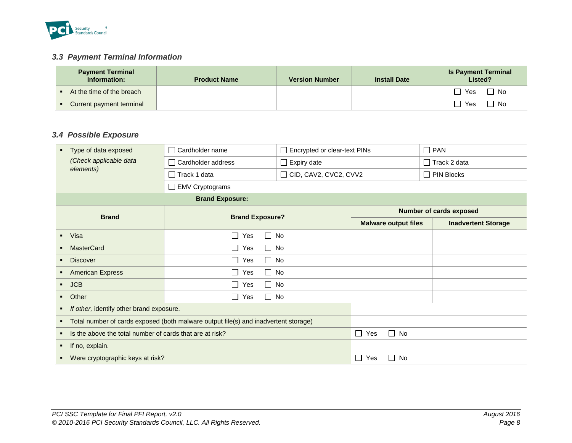

# <span id="page-11-0"></span>*3.3 Payment Terminal Information*

| <b>Payment Terminal</b><br>Information: | <b>Product Name</b> | <b>Version Number</b> | <b>Install Date</b> | <b>Is Payment Terminal</b><br>Listed? |
|-----------------------------------------|---------------------|-----------------------|---------------------|---------------------------------------|
| At the time of the breach               |                     |                       |                     | Yes<br>No                             |
| • Current payment terminal              |                     |                       |                     | Yes<br>No                             |

# <span id="page-11-1"></span>*3.4 Possible Exposure*

| Type of data exposed                                                                                  | Cardholder name            | Encrypted or clear-text PINs          |                                | $\Box$ PAN                     |
|-------------------------------------------------------------------------------------------------------|----------------------------|---------------------------------------|--------------------------------|--------------------------------|
| (Check applicable data                                                                                | Cardholder address         | $\Box$ Expiry date                    |                                | $\Box$ Track 2 data            |
| elements)                                                                                             | $\Box$ Track 1 data        | $\Box$ CID, CAV2, CVC2, CVV2          |                                | $\Box$ PIN Blocks              |
|                                                                                                       | □ EMV Cryptograms          |                                       |                                |                                |
|                                                                                                       | <b>Brand Exposure:</b>     |                                       |                                |                                |
| <b>Brand</b>                                                                                          |                            |                                       |                                | <b>Number of cards exposed</b> |
|                                                                                                       | <b>Brand Exposure?</b>     |                                       | <b>Malware output files</b>    | <b>Inadvertent Storage</b>     |
| Visa                                                                                                  | П<br>$\perp$<br>Yes        | No                                    |                                |                                |
| <b>MasterCard</b>                                                                                     | $\Box$ Yes<br>$\Box$ No    |                                       |                                |                                |
| <b>Discover</b>                                                                                       | $\Box$<br>Yes<br>$\Box$ No |                                       |                                |                                |
| <b>American Express</b><br>٠                                                                          | $\Box$<br>Yes<br>$\Box$ No |                                       |                                |                                |
| <b>JCB</b>                                                                                            | $\Box$ No<br>$\Box$ Yes    |                                       |                                |                                |
| Other                                                                                                 | $\Box$ Yes<br>$\Box$ No    |                                       |                                |                                |
| If other, identify other brand exposure.                                                              |                            |                                       |                                |                                |
| Total number of cards exposed (both malware output file(s) and inadvertent storage)<br>$\blacksquare$ |                            |                                       |                                |                                |
| Is the above the total number of cards that are at risk?                                              |                            | No<br>$\mathcal{L}$<br>Yes<br>$\perp$ |                                |                                |
| If no, explain.                                                                                       |                            |                                       |                                |                                |
| Were cryptographic keys at risk?                                                                      |                            |                                       | $\Box$<br>No<br>Yes<br>$\perp$ |                                |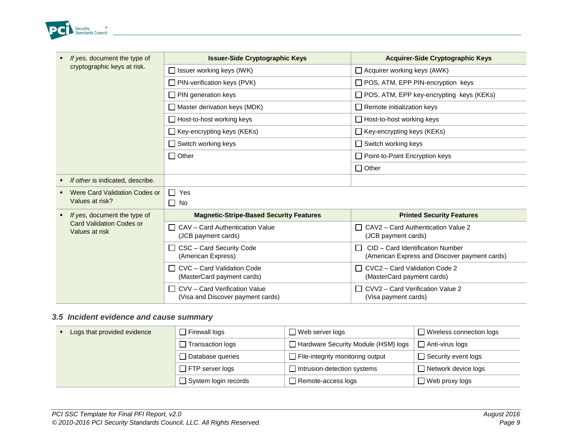

| If yes, document the type of                       | <b>Issuer-Side Cryptographic Keys</b>                                    | <b>Acquirer-Side Cryptographic Keys</b>                                                           |
|----------------------------------------------------|--------------------------------------------------------------------------|---------------------------------------------------------------------------------------------------|
| cryptographic keys at risk.                        | $\Box$ Issuer working keys (IWK)                                         | $\Box$ Acquirer working keys (AWK)                                                                |
|                                                    | $\Box$ PIN-verification keys (PVK)                                       | □ POS, ATM, EPP PIN-encryption keys                                                               |
|                                                    | $\Box$ PIN generation keys                                               | $\Box$ POS, ATM, EPP key-encrypting keys (KEKs)                                                   |
|                                                    | $\Box$ Master derivation keys (MDK)                                      | $\Box$ Remote initialization keys                                                                 |
|                                                    | $\Box$ Host-to-host working keys                                         | $\Box$ Host-to-host working keys                                                                  |
|                                                    | $\Box$ Key-encrypting keys (KEKs)                                        | $\Box$ Key-encrypting keys (KEKs)                                                                 |
|                                                    | $\Box$ Switch working keys                                               | $\Box$ Switch working keys                                                                        |
|                                                    | $\Box$ Other                                                             | Point-to-Point Encryption keys                                                                    |
|                                                    |                                                                          | $\Box$ Other                                                                                      |
| If other is indicated, describe.<br>$\blacksquare$ |                                                                          |                                                                                                   |
| Were Card Validation Codes or                      | $\Box$<br>Yes                                                            |                                                                                                   |
| Values at risk?                                    | $\Box$ No                                                                |                                                                                                   |
| If yes, document the type of                       | <b>Magnetic-Stripe-Based Security Features</b>                           | <b>Printed Security Features</b>                                                                  |
| <b>Card Validation Codes or</b><br>Values at risk  | CAV - Card Authentication Value<br>$\blacksquare$<br>(JCB payment cards) | $\Box$ CAV2 – Card Authentication Value 2<br>(JCB payment cards)                                  |
|                                                    | CSC - Card Security Code<br>$\perp$<br>(American Express)                | CID - Card Identification Number<br>$\mathsf{L}$<br>(American Express and Discover payment cards) |
|                                                    | CVC - Card Validation Code<br>$\mathbf{L}$<br>(MasterCard payment cards) | $\Box$ CVC2 – Card Validation Code 2<br>(MasterCard payment cards)                                |
|                                                    | CVV - Card Verification Value<br>(Visa and Discover payment cards)       | CVV2 - Card Verification Value 2<br>(Visa payment cards)                                          |

# <span id="page-12-0"></span>*3.5 Incident evidence and cause summary*

| Logs that provided evidence | $\Box$ Firewall logs        | $\Box$ Web server logs                  | Wireless connection logs |  |
|-----------------------------|-----------------------------|-----------------------------------------|--------------------------|--|
|                             | <b>Transaction logs</b>     | Hardware Security Module (HSM) logs     | Anti-virus logs          |  |
|                             | Database queries            | $\Box$ File-integrity monitoring output | Security event logs      |  |
|                             | $\Box$ FTP server logs      | Intrusion-detection systems             | Network device logs      |  |
|                             | $\Box$ System login records | Remote-access logs                      | Web proxy logs           |  |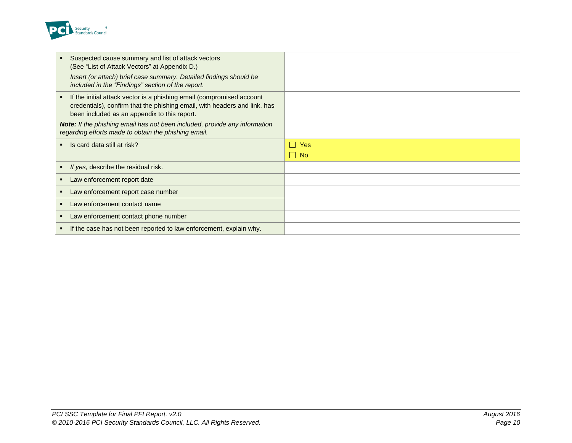

| Suspected cause summary and list of attack vectors<br>(See "List of Attack Vectors" at Appendix D.)<br>Insert (or attach) brief case summary. Detailed findings should be<br>included in the "Findings" section of the report. |                                         |
|--------------------------------------------------------------------------------------------------------------------------------------------------------------------------------------------------------------------------------|-----------------------------------------|
| If the initial attack vector is a phishing email (compromised account<br>$\mathbf{H}^{\prime}$<br>credentials), confirm that the phishing email, with headers and link, has<br>been included as an appendix to this report.    |                                         |
| <b>Note:</b> If the phishing email has not been included, provide any information<br>regarding efforts made to obtain the phishing email.                                                                                      |                                         |
| Is card data still at risk?                                                                                                                                                                                                    | <b>Yes</b><br>$\mathbf{I}$<br>$\Box$ No |
| If yes, describe the residual risk.                                                                                                                                                                                            |                                         |
| Law enforcement report date                                                                                                                                                                                                    |                                         |
| Law enforcement report case number                                                                                                                                                                                             |                                         |
| Law enforcement contact name                                                                                                                                                                                                   |                                         |
| Law enforcement contact phone number                                                                                                                                                                                           |                                         |
| If the case has not been reported to law enforcement, explain why.                                                                                                                                                             |                                         |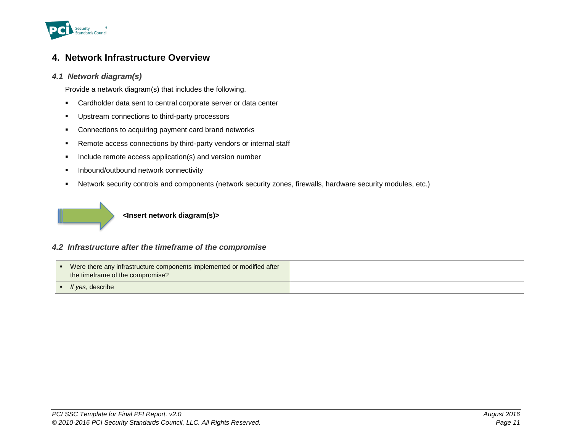

# <span id="page-14-0"></span>**4. Network Infrastructure Overview**

### <span id="page-14-1"></span>*4.1 Network diagram(s)*

Provide a network diagram(s) that includes the following.

- Cardholder data sent to central corporate server or data center
- **Upstream connections to third-party processors**
- **•** Connections to acquiring payment card brand networks
- **Remote access connections by third-party vendors or internal staff**
- **Include remote access application(s) and version number**
- **Inbound/outbound network connectivity**
- Network security controls and components (network security zones, firewalls, hardware security modules, etc.)



**<Insert network diagram(s)>**

#### <span id="page-14-2"></span>*4.2 Infrastructure after the timeframe of the compromise*

| • Were there any infrastructure components implemented or modified after<br>the timeframe of the compromise? |  |
|--------------------------------------------------------------------------------------------------------------|--|
| $\blacksquare$ If yes, describe                                                                              |  |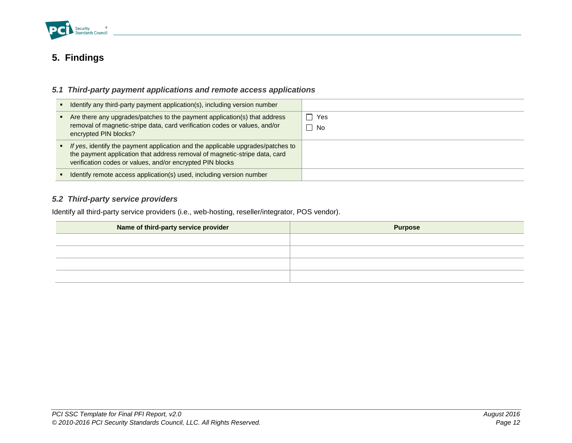

# <span id="page-15-0"></span>**5. Findings**

# <span id="page-15-1"></span>*5.1 Third-party payment applications and remote access applications*

| • Identify any third-party payment application(s), including version number                                                                                                                                                  |                         |
|------------------------------------------------------------------------------------------------------------------------------------------------------------------------------------------------------------------------------|-------------------------|
| Are there any upgrades/patches to the payment application(s) that address<br>removal of magnetic-stripe data, card verification codes or values, and/or<br>encrypted PIN blocks?                                             | $\Box$ Yes<br>$\Box$ No |
| • If yes, identify the payment application and the applicable upgrades/patches to<br>the payment application that address removal of magnetic-stripe data, card<br>verification codes or values, and/or encrypted PIN blocks |                         |
| Identify remote access application(s) used, including version number                                                                                                                                                         |                         |

### <span id="page-15-2"></span>*5.2 Third-party service providers*

Identify all third-party service providers (i.e., web-hosting, reseller/integrator, POS vendor).

| Name of third-party service provider | <b>Purpose</b> |
|--------------------------------------|----------------|
|                                      |                |
|                                      |                |
|                                      |                |
|                                      |                |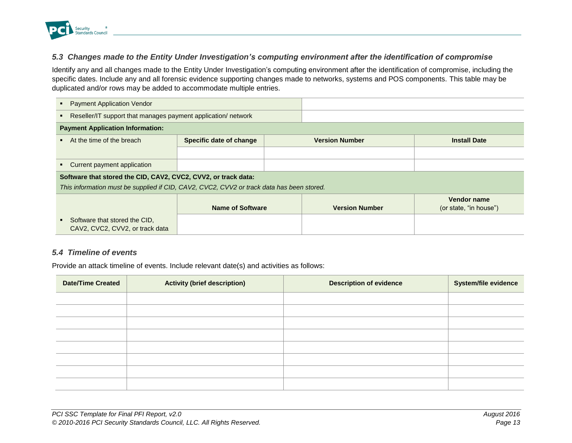

### <span id="page-16-0"></span>*5.3 Changes made to the Entity Under Investigation's computing environment after the identification of compromise*

Identify any and all changes made to the Entity Under Investigation's computing environment after the identification of compromise, including the specific dates. Include any and all forensic evidence supporting changes made to networks, systems and POS components. This table may be duplicated and/or rows may be added to accommodate multiple entries.

| <b>Payment Application Vendor</b>                                                         |                                                  |  |                       |                                              |
|-------------------------------------------------------------------------------------------|--------------------------------------------------|--|-----------------------|----------------------------------------------|
| Reseller/IT support that manages payment application/ network                             |                                                  |  |                       |                                              |
| <b>Payment Application Information:</b>                                                   |                                                  |  |                       |                                              |
| At the time of the breach                                                                 | Specific date of change<br><b>Version Number</b> |  | <b>Install Date</b>   |                                              |
|                                                                                           |                                                  |  |                       |                                              |
| Current payment application                                                               |                                                  |  |                       |                                              |
| Software that stored the CID, CAV2, CVC2, CVV2, or track data:                            |                                                  |  |                       |                                              |
| This information must be supplied if CID, CAV2, CVC2, CVV2 or track data has been stored. |                                                  |  |                       |                                              |
|                                                                                           | <b>Name of Software</b>                          |  | <b>Version Number</b> | <b>Vendor name</b><br>(or state, "in house") |
| Software that stored the CID,<br>$\blacksquare$<br>CAV2, CVC2, CVV2, or track data        |                                                  |  |                       |                                              |

#### <span id="page-16-1"></span>*5.4 Timeline of events*

Provide an attack timeline of events. Include relevant date(s) and activities as follows:

| <b>Date/Time Created</b> | <b>Activity (brief description)</b> | <b>Description of evidence</b> | <b>System/file evidence</b> |
|--------------------------|-------------------------------------|--------------------------------|-----------------------------|
|                          |                                     |                                |                             |
|                          |                                     |                                |                             |
|                          |                                     |                                |                             |
|                          |                                     |                                |                             |
|                          |                                     |                                |                             |
|                          |                                     |                                |                             |
|                          |                                     |                                |                             |
|                          |                                     |                                |                             |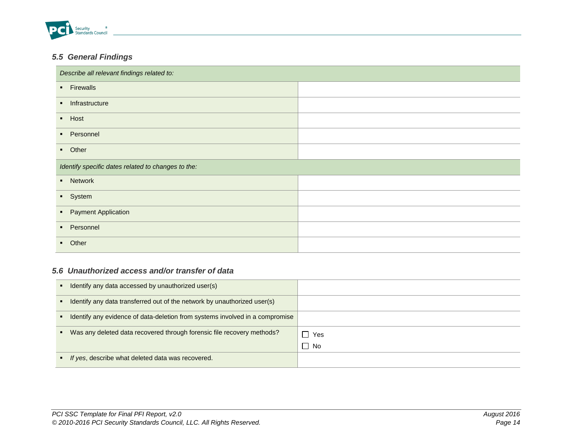

# <span id="page-17-0"></span>*5.5 General Findings*

| Describe all relevant findings related to:         |  |  |  |
|----------------------------------------------------|--|--|--|
| • Firewalls                                        |  |  |  |
| Infrastructure<br>$\mathbf{R}$                     |  |  |  |
| $-Host$                                            |  |  |  |
| • Personnel                                        |  |  |  |
| • Other                                            |  |  |  |
| Identify specific dates related to changes to the: |  |  |  |
| • Network                                          |  |  |  |
| • System                                           |  |  |  |
| • Payment Application                              |  |  |  |
| • Personnel                                        |  |  |  |
| • Other                                            |  |  |  |

### <span id="page-17-1"></span>*5.6 Unauthorized access and/or transfer of data*

| Identify any data accessed by unauthorized user(s)                           |      |
|------------------------------------------------------------------------------|------|
| Identify any data transferred out of the network by unauthorized user(s)     |      |
| Identify any evidence of data-deletion from systems involved in a compromise |      |
| Was any deleted data recovered through forensic file recovery methods?       | Yes  |
|                                                                              | □ No |
| • If yes, describe what deleted data was recovered.                          |      |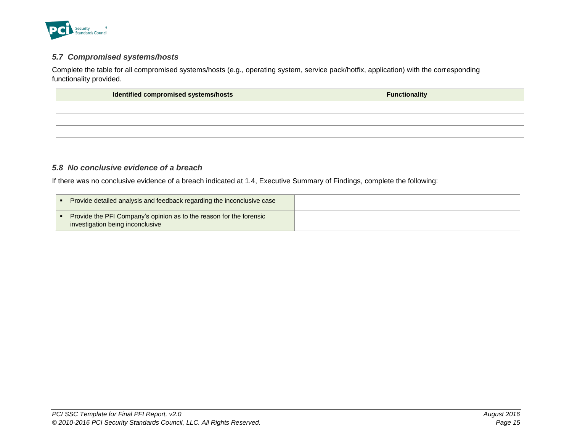

### <span id="page-18-0"></span>*5.7 Compromised systems/hosts*

Complete the table for all compromised systems/hosts (e.g., operating system, service pack/hotfix, application) with the corresponding functionality provided.

| Identified compromised systems/hosts | <b>Functionality</b> |
|--------------------------------------|----------------------|
|                                      |                      |
|                                      |                      |
|                                      |                      |
|                                      |                      |

### <span id="page-18-1"></span>*5.8 No conclusive evidence of a breach*

If there was no conclusive evidence of a breach indicated at 1.4, Executive Summary of Findings, complete the following:

| Provide detailed analysis and feedback regarding the inconclusive case                                  |  |
|---------------------------------------------------------------------------------------------------------|--|
| Provide the PFI Company's opinion as to the reason for the forensic<br>investigation being inconclusive |  |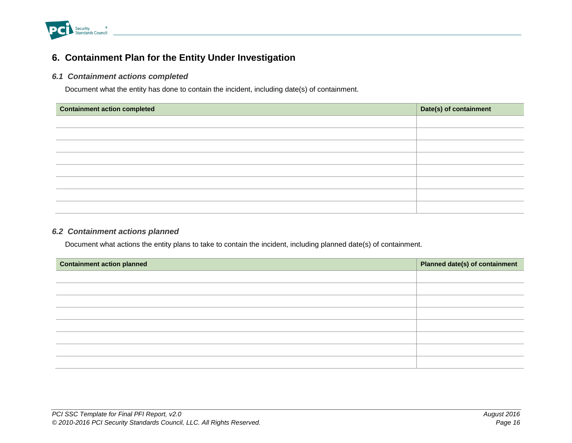

# <span id="page-19-0"></span>**6. Containment Plan for the Entity Under Investigation**

#### <span id="page-19-1"></span>*6.1 Containment actions completed*

Document what the entity has done to contain the incident, including date(s) of containment.

| <b>Containment action completed</b> | Date(s) of containment |
|-------------------------------------|------------------------|
|                                     |                        |
|                                     |                        |
|                                     |                        |
|                                     |                        |
|                                     |                        |
|                                     |                        |
|                                     |                        |
|                                     |                        |

### <span id="page-19-2"></span>*6.2 Containment actions planned*

Document what actions the entity plans to take to contain the incident, including planned date(s) of containment.

| <b>Containment action planned</b> | <b>Planned date(s) of containment</b> |
|-----------------------------------|---------------------------------------|
|                                   |                                       |
|                                   |                                       |
|                                   |                                       |
|                                   |                                       |
|                                   |                                       |
|                                   |                                       |
|                                   |                                       |
|                                   |                                       |
|                                   |                                       |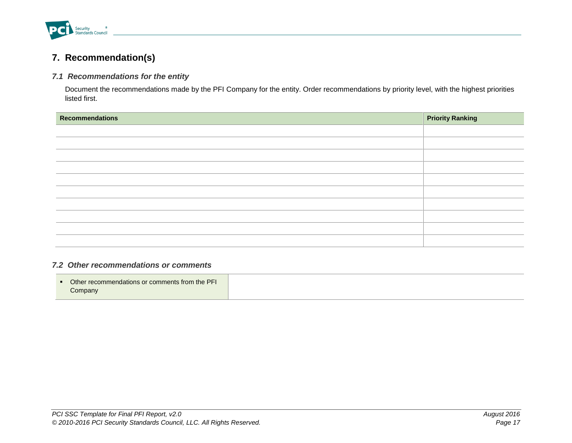

# <span id="page-20-0"></span>**7. Recommendation(s)**

#### <span id="page-20-1"></span>*7.1 Recommendations for the entity*

Document the recommendations made by the PFI Company for the entity. Order recommendations by priority level, with the highest priorities listed first.

| <b>Recommendations</b> | <b>Priority Ranking</b> |
|------------------------|-------------------------|
|                        |                         |
|                        |                         |
|                        |                         |
|                        |                         |
|                        |                         |
|                        |                         |
|                        |                         |
|                        |                         |
|                        |                         |
|                        |                         |

# <span id="page-20-2"></span>*7.2 Other recommendations or comments*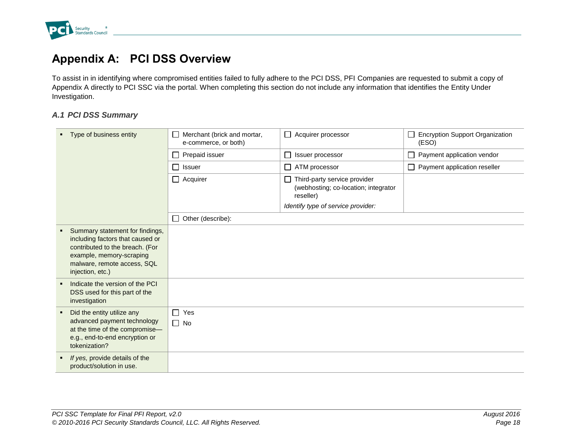

# <span id="page-21-0"></span>**Appendix A: PCI DSS Overview**

To assist in in identifying where compromised entities failed to fully adhere to the PCI DSS, PFI Companies are requested to submit a copy of Appendix A directly to PCI SSC via the portal. When completing this section do not include any information that identifies the Entity Under Investigation.

#### <span id="page-21-1"></span>*A.1 PCI DSS Summary*

| • Type of business entity                                                                                                                                                             | Merchant (brick and mortar,<br>e-commerce, or both) | $\Box$ Acquirer processor                                                                                                      | <b>Encryption Support Organization</b><br>(ESO) |
|---------------------------------------------------------------------------------------------------------------------------------------------------------------------------------------|-----------------------------------------------------|--------------------------------------------------------------------------------------------------------------------------------|-------------------------------------------------|
|                                                                                                                                                                                       | Prepaid issuer                                      | Issuer processor                                                                                                               | Payment application vendor                      |
|                                                                                                                                                                                       | Issuer                                              | ATM processor                                                                                                                  | $\Box$ Payment application reseller             |
|                                                                                                                                                                                       | $\Box$ Acquirer                                     | $\Box$ Third-party service provider<br>(webhosting; co-location; integrator<br>reseller)<br>Identify type of service provider: |                                                 |
|                                                                                                                                                                                       | Other (describe):<br>$\Box$                         |                                                                                                                                |                                                 |
| Summary statement for findings,<br>including factors that caused or<br>contributed to the breach. (For<br>example, memory-scraping<br>malware, remote access, SQL<br>injection, etc.) |                                                     |                                                                                                                                |                                                 |
| Indicate the version of the PCI<br>DSS used for this part of the<br>investigation                                                                                                     |                                                     |                                                                                                                                |                                                 |
| Did the entity utilize any<br>п<br>advanced payment technology<br>at the time of the compromise-<br>e.g., end-to-end encryption or<br>tokenization?                                   | Yes<br>$\Box$<br>$\Box$ No                          |                                                                                                                                |                                                 |
| If yes, provide details of the<br>product/solution in use.                                                                                                                            |                                                     |                                                                                                                                |                                                 |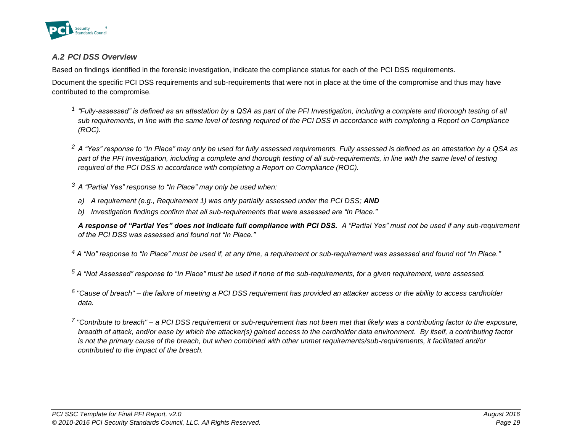

# <span id="page-22-0"></span>*A.2 PCI DSS Overview*

Based on findings identified in the forensic investigation, indicate the compliance status for each of the PCI DSS requirements.

Document the specific PCI DSS requirements and sub-requirements that were not in place at the time of the compromise and thus may have contributed to the compromise.

- <sup>1</sup> "Fully-assessed" is defined as an attestation by a QSA as part of the PFI Investigation, including a complete and thorough testing of all *sub requirements, in line with the same level of testing required of the PCI DSS in accordance with completing a Report on Compliance (ROC).*
- *<sup>2</sup> A "Yes" response to "In Place" may only be used for fully assessed requirements. Fully assessed is defined as an attestation by a QSA as part of the PFI Investigation, including a complete and thorough testing of all sub-requirements, in line with the same level of testing required of the PCI DSS in accordance with completing a Report on Compliance (ROC).*
- *<sup>3</sup> A "Partial Yes" response to "In Place" may only be used when:*
- *a) A requirement (e.g., Requirement 1) was only partially assessed under the PCI DSS; AND*
- *b) Investigation findings confirm that all sub-requirements that were assessed are "In Place."*

*A response of "Partial Yes" does not indicate full compliance with PCI DSS. A "Partial Yes" must not be used if any sub-requirement of the PCI DSS was assessed and found not "In Place."* 

*<sup>4</sup> A "No" response to "In Place" must be used if, at any time, a requirement or sub-requirement was assessed and found not "In Place."*

*<sup>5</sup> A "Not Assessed" response to "In Place" must be used if none of the sub-requirements, for a given requirement, were assessed.* 

*6 "Cause of breach" – the failure of meeting a PCI DSS requirement has provided an attacker access or the ability to access cardholder data.*

*<sup>7</sup> "Contribute to breach" – a PCI DSS requirement or sub-requirement has not been met that likely was a contributing factor to the exposure, breadth of attack, and/or ease by which the attacker(s) gained access to the cardholder data environment. By itself, a contributing factor is not the primary cause of the breach, but when combined with other unmet requirements/sub-requirements, it facilitated and/or contributed to the impact of the breach.*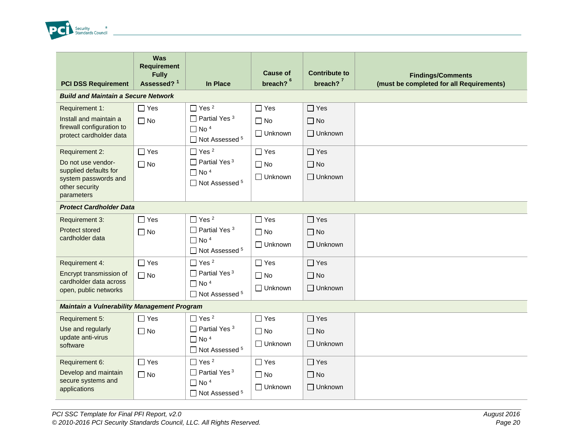

| <b>PCI DSS Requirement</b>                                                                                            | <b>Was</b><br><b>Requirement</b><br><b>Fully</b><br>Assessed? <sup>1</sup> | In Place                                                                                                        | <b>Cause of</b><br>breach? <sup>6</sup>   | <b>Contribute to</b><br>breach? $7$       | <b>Findings/Comments</b><br>(must be completed for all Requirements) |
|-----------------------------------------------------------------------------------------------------------------------|----------------------------------------------------------------------------|-----------------------------------------------------------------------------------------------------------------|-------------------------------------------|-------------------------------------------|----------------------------------------------------------------------|
| <b>Build and Maintain a Secure Network</b>                                                                            |                                                                            |                                                                                                                 |                                           |                                           |                                                                      |
| Requirement 1:<br>Install and maintain a<br>firewall configuration to<br>protect cardholder data                      | $\Box$ Yes<br>$\Box$ No                                                    | $\Box$ Yes <sup>2</sup><br>$\Box$ Partial Yes <sup>3</sup><br>$\Box$ No <sup>4</sup><br>$\Box$ Not Assessed $5$ | $\Box$ Yes<br>$\Box$ No<br>Unknown        | $\Box$ Yes<br>$\Box$ No<br>$\Box$ Unknown |                                                                      |
| Requirement 2:<br>Do not use vendor-<br>supplied defaults for<br>system passwords and<br>other security<br>parameters | $\Box$ Yes<br>$\Box$ No                                                    | $\Box$ Yes <sup>2</sup><br>$\Box$ Partial Yes <sup>3</sup><br>$\Box$ No <sup>4</sup><br>$\Box$ Not Assessed $5$ | $\Box$ Yes<br>$\Box$ No<br>□ Unknown      | $\Box$ Yes<br>$\Box$ No<br>$\Box$ Unknown |                                                                      |
| <b>Protect Cardholder Data</b>                                                                                        |                                                                            |                                                                                                                 |                                           |                                           |                                                                      |
| Requirement 3:<br>Protect stored<br>cardholder data                                                                   | $\Box$ Yes<br>$\Box$ No                                                    | $\Box$ Yes <sup>2</sup><br>$\Box$ Partial Yes <sup>3</sup><br>$\Box$ No <sup>4</sup><br>□ Not Assessed 5        | $\Box$ Yes<br>$\Box$ No<br>$\Box$ Unknown | $\Box$ Yes<br>$\Box$ No<br>$\Box$ Unknown |                                                                      |
| Requirement 4:<br>Encrypt transmission of<br>cardholder data across<br>open, public networks                          | $\Box$ Yes<br>$\Box$ No                                                    | $\Box$ Yes <sup>2</sup><br>$\Box$ Partial Yes <sup>3</sup><br>$\Box$ No <sup>4</sup><br>$\Box$ Not Assessed $5$ | $\Box$ Yes<br>$\Box$ No<br>□ Unknown      | $\Box$ Yes<br>$\Box$ No<br>□ Unknown      |                                                                      |
| <b>Maintain a Vulnerability Management Program</b>                                                                    |                                                                            |                                                                                                                 |                                           |                                           |                                                                      |
| Requirement 5:<br>Use and regularly<br>update anti-virus<br>software                                                  | $\Box$ Yes<br>$\Box$ No                                                    | $\Box$ Yes <sup>2</sup><br>$\Box$ Partial Yes <sup>3</sup><br>$\Box$ No <sup>4</sup><br>□ Not Assessed 5        | $\Box$ Yes<br>$\Box$ No<br>□ Unknown      | $\Box$ Yes<br>$\Box$ No<br>$\Box$ Unknown |                                                                      |
| Requirement 6:<br>Develop and maintain<br>secure systems and<br>applications                                          | $\Box$ Yes<br>$\Box$ No                                                    | $\Box$ Yes <sup>2</sup><br>$\Box$ Partial Yes <sup>3</sup><br>$\Box$ No <sup>4</sup><br>□ Not Assessed 5        | $\Box$ Yes<br>$\Box$ No<br>$\Box$ Unknown | $\Box$ Yes<br>$\Box$ No<br>$\Box$ Unknown |                                                                      |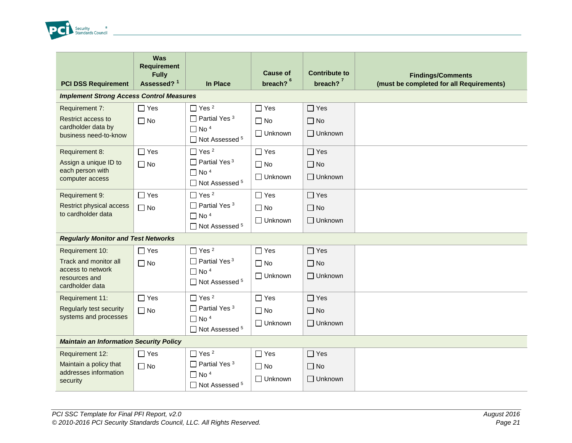

| <b>PCI DSS Requirement</b>                                                                        | Was<br><b>Requirement</b><br><b>Fully</b><br>Assessed? <sup>1</sup> | <b>In Place</b>                                                                                                     | <b>Cause of</b><br>breach? <sup>6</sup>   | <b>Contribute to</b><br>breach? $7$       | <b>Findings/Comments</b><br>(must be completed for all Requirements) |  |
|---------------------------------------------------------------------------------------------------|---------------------------------------------------------------------|---------------------------------------------------------------------------------------------------------------------|-------------------------------------------|-------------------------------------------|----------------------------------------------------------------------|--|
| <b>Implement Strong Access Control Measures</b>                                                   |                                                                     |                                                                                                                     |                                           |                                           |                                                                      |  |
| Requirement 7:<br>Restrict access to<br>cardholder data by<br>business need-to-know               | $\Box$ Yes<br>$\Box$ No                                             | $\Box$ Yes <sup>2</sup><br>$\Box$ Partial Yes <sup>3</sup><br>$\Box$ No <sup>4</sup><br>$\Box$ Not Assessed $5$     | $\Box$ Yes<br>$\Box$ No<br>$\Box$ Unknown | $\Box$ Yes<br>$\Box$ No<br>$\Box$ Unknown |                                                                      |  |
| Requirement 8:<br>Assign a unique ID to<br>each person with<br>computer access                    | $\Box$ Yes<br>$\Box$ No                                             | $\Box$ Yes <sup>2</sup><br>$\Box$ Partial Yes <sup>3</sup><br>$\Box$ No <sup>4</sup><br>□ Not Assessed <sup>5</sup> | $\Box$ Yes<br>$\Box$ No<br>$\Box$ Unknown | $\Box$ Yes<br>$\Box$ No<br>$\Box$ Unknown |                                                                      |  |
| Requirement 9:<br>Restrict physical access<br>to cardholder data                                  | $\Box$ Yes<br>$\Box$ No                                             | $\Box$ Yes <sup>2</sup><br>$\Box$ Partial Yes <sup>3</sup><br>$\Box$ No <sup>4</sup><br>□ Not Assessed 5            | $\Box$ Yes<br>$\Box$ No<br>$\Box$ Unknown | $\Box$ Yes<br>$\Box$ No<br>$\Box$ Unknown |                                                                      |  |
| <b>Regularly Monitor and Test Networks</b>                                                        |                                                                     |                                                                                                                     |                                           |                                           |                                                                      |  |
| Requirement 10:<br>Track and monitor all<br>access to network<br>resources and<br>cardholder data | $\Box$ Yes<br>$\Box$ No                                             | $\Box$ Yes <sup>2</sup><br>$\Box$ Partial Yes <sup>3</sup><br>$\Box$ No <sup>4</sup><br>□ Not Assessed <sup>5</sup> | $\Box$ Yes<br>$\Box$ No<br>$\Box$ Unknown | $\Box$ Yes<br>$\Box$ No<br>$\Box$ Unknown |                                                                      |  |
| Requirement 11:<br><b>Regularly test security</b><br>systems and processes                        | $\Box$ Yes<br>$\Box$ No                                             | $\Box$ Yes <sup>2</sup><br>$\Box$ Partial Yes <sup>3</sup><br>$\Box$ No <sup>4</sup><br>$\Box$ Not Assessed $5$     | $\Box$ Yes<br>$\Box$ No<br>$\Box$ Unknown | $\Box$ Yes<br>$\Box$ No<br>$\Box$ Unknown |                                                                      |  |
| <b>Maintain an Information Security Policy</b>                                                    |                                                                     |                                                                                                                     |                                           |                                           |                                                                      |  |
| Requirement 12:<br>Maintain a policy that<br>addresses information<br>security                    | $\Box$ Yes<br>$\Box$ No                                             | $\Box$ Yes <sup>2</sup><br>$\Box$ Partial Yes <sup>3</sup><br>$\Box$ No <sup>4</sup><br>□ Not Assessed 5            | $\Box$ Yes<br>$\Box$ No<br>$\Box$ Unknown | $\Box$ Yes<br>$\Box$ No<br>$\Box$ Unknown |                                                                      |  |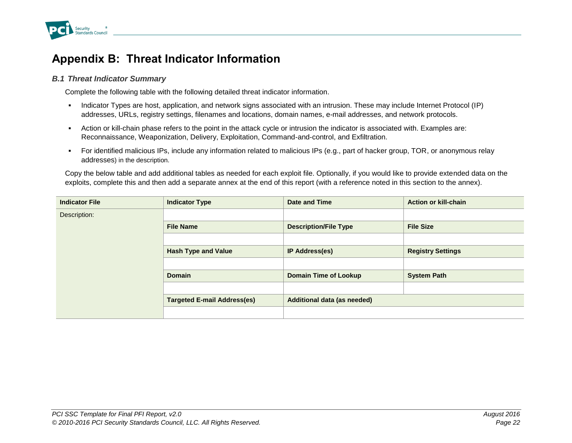

# <span id="page-25-0"></span>**Appendix B: Threat Indicator Information**

#### <span id="page-25-1"></span>*B.1 Threat Indicator Summary*

Complete the following table with the following detailed threat indicator information.

- Indicator Types are host, application, and network signs associated with an intrusion. These may include Internet Protocol (IP) addresses, URLs, registry settings, filenames and locations, domain names, e-mail addresses, and network protocols.
- Action or kill-chain phase refers to the point in the attack cycle or intrusion the indicator is associated with. Examples are: Reconnaissance, Weaponization, Delivery, Exploitation, Command-and-control, and Exfiltration.
- For identified malicious IPs, include any information related to malicious IPs (e.g., part of hacker group, TOR, or anonymous relay addresses) in the description.

Copy the below table and add additional tables as needed for each exploit file. Optionally, if you would like to provide extended data on the exploits, complete this and then add a separate annex at the end of this report (with a reference noted in this section to the annex).

| <b>Indicator File</b> | <b>Indicator Type</b>              | Date and Time                      | <b>Action or kill-chain</b> |  |  |
|-----------------------|------------------------------------|------------------------------------|-----------------------------|--|--|
| Description:          |                                    |                                    |                             |  |  |
|                       | <b>File Name</b>                   | <b>Description/File Type</b>       | <b>File Size</b>            |  |  |
|                       |                                    |                                    |                             |  |  |
|                       | <b>Hash Type and Value</b>         | <b>IP Address(es)</b>              | <b>Registry Settings</b>    |  |  |
|                       |                                    |                                    |                             |  |  |
|                       | <b>Domain</b>                      | <b>Domain Time of Lookup</b>       | <b>System Path</b>          |  |  |
|                       |                                    |                                    |                             |  |  |
|                       | <b>Targeted E-mail Address(es)</b> | <b>Additional data (as needed)</b> |                             |  |  |
|                       |                                    |                                    |                             |  |  |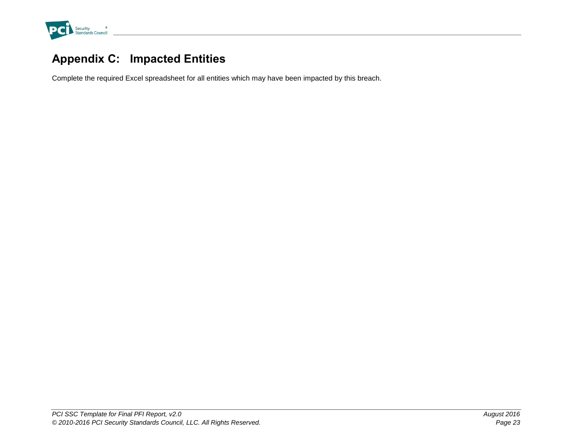

# <span id="page-26-0"></span>**Appendix C: Impacted Entities**

Complete the required Excel spreadsheet for all entities which may have been impacted by this breach.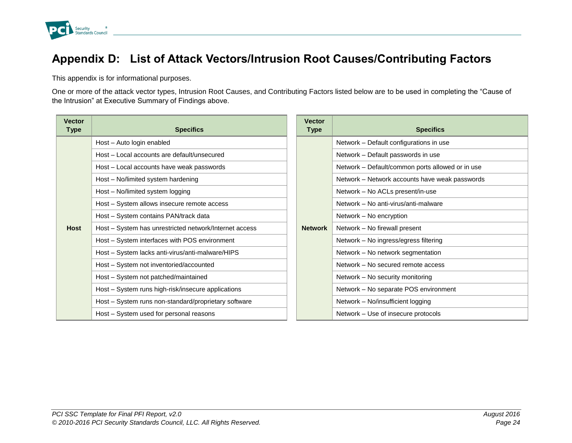

# <span id="page-27-0"></span>**Appendix D: List of Attack Vectors/Intrusion Root Causes/Contributing Factors**

This appendix is for informational purposes.

One or more of the attack vector types, Intrusion Root Causes, and Contributing Factors listed below are to be used in completing the "Cause of the Intrusion" at Executive Summary of Findings above.

| <b>Vector</b><br>Type | <b>Specifics</b>                                       | <b>Vector</b><br><b>Type</b> | <b>Specifics</b>                                 |
|-----------------------|--------------------------------------------------------|------------------------------|--------------------------------------------------|
|                       | Host - Auto login enabled                              |                              | Network - Default configurations in use          |
|                       | Host - Local accounts are default/unsecured            |                              | Network - Default passwords in use               |
|                       | Host - Local accounts have weak passwords              |                              | Network - Default/common ports allowed or in use |
|                       | Host - No/limited system hardening                     |                              | Network - Network accounts have weak passwords   |
|                       | Host - No/limited system logging                       |                              | Network - No ACLs present/in-use                 |
|                       | Host - System allows insecure remote access            |                              | Network - No anti-virus/anti-malware             |
|                       | Host - System contains PAN/track data                  |                              | Network - No encryption                          |
| <b>Host</b>           | Host - System has unrestricted network/Internet access | <b>Network</b>               | Network - No firewall present                    |
|                       | Host - System interfaces with POS environment          |                              | Network - No ingress/egress filtering            |
|                       | Host - System lacks anti-virus/anti-malware/HIPS       |                              | Network - No network segmentation                |
|                       | Host – System not inventoried/accounted                |                              | Network - No secured remote access               |
|                       | Host - System not patched/maintained                   |                              | Network – No security monitoring                 |
|                       | Host - System runs high-risk/insecure applications     |                              | Network - No separate POS environment            |
|                       | Host - System runs non-standard/proprietary software   |                              | Network - No/insufficient logging                |
|                       | Host - System used for personal reasons                |                              | Network – Use of insecure protocols              |

| <b>Vector</b><br>Type | <b>Specifics</b>                                 |  |  |  |  |
|-----------------------|--------------------------------------------------|--|--|--|--|
|                       | Network – Default configurations in use          |  |  |  |  |
|                       | Network - Default passwords in use               |  |  |  |  |
|                       | Network - Default/common ports allowed or in use |  |  |  |  |
|                       | Network – Network accounts have weak passwords   |  |  |  |  |
|                       | Network - No ACLs present/in-use                 |  |  |  |  |
|                       | Network - No anti-virus/anti-malware             |  |  |  |  |
|                       | Network – No encryption                          |  |  |  |  |
| <b>Network</b>        | Network – No firewall present                    |  |  |  |  |
|                       | Network – No ingress/egress filtering            |  |  |  |  |
|                       | Network - No network segmentation                |  |  |  |  |
|                       | Network – No secured remote access               |  |  |  |  |
|                       | Network - No security monitoring                 |  |  |  |  |
|                       | Network - No separate POS environment            |  |  |  |  |
|                       | Network - No/insufficient logging                |  |  |  |  |
|                       | Network – Use of insecure protocols              |  |  |  |  |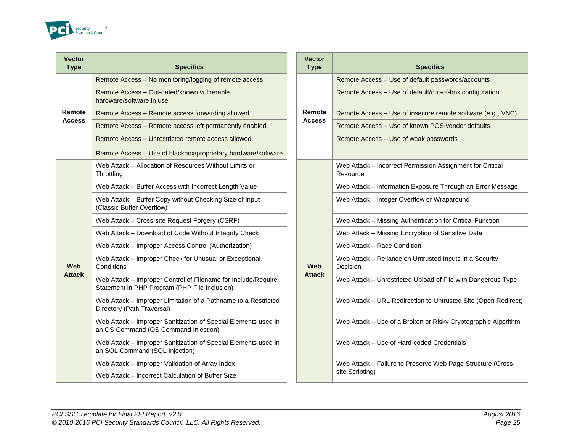

| Remote Access - No monitoring/logging of remote access<br>Remote Access - Use of default passwords/accounts<br>Remote Access - Out-dated/known vulnerable<br>Remote Access - Use of default/out-of-box configurat<br>hardware/software in use<br>Remote<br>Remote<br>Remote Access - Use of insecure remote software (e<br>Remote Access - Remote access forwarding allowed<br><b>Access</b><br><b>Access</b><br>Remote Access - Use of known POS vendor defaults<br>Remote Access - Remote access left permanently enabled<br>Remote Access - Unrestricted remote access allowed<br>Remote Access - Use of weak passwords<br>Remote Access - Use of blackbox/proprietary hardware/software<br>Web Attack - Allocation of Resources Without Limits or<br>Web Attack - Incorrect Permission Assignment for Cr<br>Throttling<br>Resource<br>Web Attack - Buffer Access with Incorrect Length Value<br>Web Attack - Information Exposure Through an Error<br>Web Attack - Buffer Copy without Checking Size of Input<br>Web Attack - Integer Overflow or Wraparound<br>(Classic Buffer Overflow)<br>Web Attack - Cross-site Request Forgery (CSRF)<br>Web Attack - Missing Authentication for Critical Funct<br>Web Attack - Download of Code Without Integrity Check<br>Web Attack - Missing Encryption of Sensitive Data<br>Web Attack - Race Condition<br>Web Attack - Improper Access Control (Authorization)<br>Web Attack - Reliance on Untrusted Inputs in a Secu<br>Web Attack - Improper Check for Unusual or Exceptional<br><b>Web</b><br><b>Web</b><br>Conditions<br>Decision<br><b>Attack</b><br><b>Attack</b><br>Web Attack - Improper Control of Filename for Include/Require<br>Web Attack - Unrestricted Upload of File with Danger<br>Statement in PHP Program (PHP File Inclusion)<br>Web Attack - Improper Limitation of a Pathname to a Restricted<br>Web Attack - URL Redirection to Untrusted Site (Ope<br>Directory (Path Traversal)<br>Web Attack - Improper Sanitization of Special Elements used in<br>Web Attack - Use of a Broken or Risky Cryptographic<br>an OS Command (OS Command Injection)<br>Web Attack - Improper Sanitization of Special Elements used in<br>Web Attack - Use of Hard-coded Credentials<br>an SQL Command (SQL Injection)<br>Web Attack - Improper Validation of Array Index<br>Web Attack - Failure to Preserve Web Page Structure<br>site Scripting)<br>Web Attack - Incorrect Calculation of Buffer Size | <b>Vector</b><br><b>Type</b> | <b>Specifics</b> | <b>Vector</b><br><b>Type</b> | <b>Specifics</b> |
|---------------------------------------------------------------------------------------------------------------------------------------------------------------------------------------------------------------------------------------------------------------------------------------------------------------------------------------------------------------------------------------------------------------------------------------------------------------------------------------------------------------------------------------------------------------------------------------------------------------------------------------------------------------------------------------------------------------------------------------------------------------------------------------------------------------------------------------------------------------------------------------------------------------------------------------------------------------------------------------------------------------------------------------------------------------------------------------------------------------------------------------------------------------------------------------------------------------------------------------------------------------------------------------------------------------------------------------------------------------------------------------------------------------------------------------------------------------------------------------------------------------------------------------------------------------------------------------------------------------------------------------------------------------------------------------------------------------------------------------------------------------------------------------------------------------------------------------------------------------------------------------------------------------------------------------------------------------------------------------------------------------------------------------------------------------------------------------------------------------------------------------------------------------------------------------------------------------------------------------------------------------------------------------------------------------------------------------------------------------------------------------------------------------------------------------------------------------|------------------------------|------------------|------------------------------|------------------|
|                                                                                                                                                                                                                                                                                                                                                                                                                                                                                                                                                                                                                                                                                                                                                                                                                                                                                                                                                                                                                                                                                                                                                                                                                                                                                                                                                                                                                                                                                                                                                                                                                                                                                                                                                                                                                                                                                                                                                                                                                                                                                                                                                                                                                                                                                                                                                                                                                                                               |                              |                  |                              |                  |
|                                                                                                                                                                                                                                                                                                                                                                                                                                                                                                                                                                                                                                                                                                                                                                                                                                                                                                                                                                                                                                                                                                                                                                                                                                                                                                                                                                                                                                                                                                                                                                                                                                                                                                                                                                                                                                                                                                                                                                                                                                                                                                                                                                                                                                                                                                                                                                                                                                                               |                              |                  |                              |                  |
|                                                                                                                                                                                                                                                                                                                                                                                                                                                                                                                                                                                                                                                                                                                                                                                                                                                                                                                                                                                                                                                                                                                                                                                                                                                                                                                                                                                                                                                                                                                                                                                                                                                                                                                                                                                                                                                                                                                                                                                                                                                                                                                                                                                                                                                                                                                                                                                                                                                               |                              |                  |                              |                  |
|                                                                                                                                                                                                                                                                                                                                                                                                                                                                                                                                                                                                                                                                                                                                                                                                                                                                                                                                                                                                                                                                                                                                                                                                                                                                                                                                                                                                                                                                                                                                                                                                                                                                                                                                                                                                                                                                                                                                                                                                                                                                                                                                                                                                                                                                                                                                                                                                                                                               |                              |                  |                              |                  |
|                                                                                                                                                                                                                                                                                                                                                                                                                                                                                                                                                                                                                                                                                                                                                                                                                                                                                                                                                                                                                                                                                                                                                                                                                                                                                                                                                                                                                                                                                                                                                                                                                                                                                                                                                                                                                                                                                                                                                                                                                                                                                                                                                                                                                                                                                                                                                                                                                                                               |                              |                  |                              |                  |
|                                                                                                                                                                                                                                                                                                                                                                                                                                                                                                                                                                                                                                                                                                                                                                                                                                                                                                                                                                                                                                                                                                                                                                                                                                                                                                                                                                                                                                                                                                                                                                                                                                                                                                                                                                                                                                                                                                                                                                                                                                                                                                                                                                                                                                                                                                                                                                                                                                                               |                              |                  |                              |                  |
|                                                                                                                                                                                                                                                                                                                                                                                                                                                                                                                                                                                                                                                                                                                                                                                                                                                                                                                                                                                                                                                                                                                                                                                                                                                                                                                                                                                                                                                                                                                                                                                                                                                                                                                                                                                                                                                                                                                                                                                                                                                                                                                                                                                                                                                                                                                                                                                                                                                               |                              |                  |                              |                  |
|                                                                                                                                                                                                                                                                                                                                                                                                                                                                                                                                                                                                                                                                                                                                                                                                                                                                                                                                                                                                                                                                                                                                                                                                                                                                                                                                                                                                                                                                                                                                                                                                                                                                                                                                                                                                                                                                                                                                                                                                                                                                                                                                                                                                                                                                                                                                                                                                                                                               |                              |                  |                              |                  |
|                                                                                                                                                                                                                                                                                                                                                                                                                                                                                                                                                                                                                                                                                                                                                                                                                                                                                                                                                                                                                                                                                                                                                                                                                                                                                                                                                                                                                                                                                                                                                                                                                                                                                                                                                                                                                                                                                                                                                                                                                                                                                                                                                                                                                                                                                                                                                                                                                                                               |                              |                  |                              |                  |
|                                                                                                                                                                                                                                                                                                                                                                                                                                                                                                                                                                                                                                                                                                                                                                                                                                                                                                                                                                                                                                                                                                                                                                                                                                                                                                                                                                                                                                                                                                                                                                                                                                                                                                                                                                                                                                                                                                                                                                                                                                                                                                                                                                                                                                                                                                                                                                                                                                                               |                              |                  |                              |                  |
|                                                                                                                                                                                                                                                                                                                                                                                                                                                                                                                                                                                                                                                                                                                                                                                                                                                                                                                                                                                                                                                                                                                                                                                                                                                                                                                                                                                                                                                                                                                                                                                                                                                                                                                                                                                                                                                                                                                                                                                                                                                                                                                                                                                                                                                                                                                                                                                                                                                               |                              |                  |                              |                  |
|                                                                                                                                                                                                                                                                                                                                                                                                                                                                                                                                                                                                                                                                                                                                                                                                                                                                                                                                                                                                                                                                                                                                                                                                                                                                                                                                                                                                                                                                                                                                                                                                                                                                                                                                                                                                                                                                                                                                                                                                                                                                                                                                                                                                                                                                                                                                                                                                                                                               |                              |                  |                              |                  |
|                                                                                                                                                                                                                                                                                                                                                                                                                                                                                                                                                                                                                                                                                                                                                                                                                                                                                                                                                                                                                                                                                                                                                                                                                                                                                                                                                                                                                                                                                                                                                                                                                                                                                                                                                                                                                                                                                                                                                                                                                                                                                                                                                                                                                                                                                                                                                                                                                                                               |                              |                  |                              |                  |
|                                                                                                                                                                                                                                                                                                                                                                                                                                                                                                                                                                                                                                                                                                                                                                                                                                                                                                                                                                                                                                                                                                                                                                                                                                                                                                                                                                                                                                                                                                                                                                                                                                                                                                                                                                                                                                                                                                                                                                                                                                                                                                                                                                                                                                                                                                                                                                                                                                                               |                              |                  |                              |                  |
|                                                                                                                                                                                                                                                                                                                                                                                                                                                                                                                                                                                                                                                                                                                                                                                                                                                                                                                                                                                                                                                                                                                                                                                                                                                                                                                                                                                                                                                                                                                                                                                                                                                                                                                                                                                                                                                                                                                                                                                                                                                                                                                                                                                                                                                                                                                                                                                                                                                               |                              |                  |                              |                  |
|                                                                                                                                                                                                                                                                                                                                                                                                                                                                                                                                                                                                                                                                                                                                                                                                                                                                                                                                                                                                                                                                                                                                                                                                                                                                                                                                                                                                                                                                                                                                                                                                                                                                                                                                                                                                                                                                                                                                                                                                                                                                                                                                                                                                                                                                                                                                                                                                                                                               |                              |                  |                              |                  |
|                                                                                                                                                                                                                                                                                                                                                                                                                                                                                                                                                                                                                                                                                                                                                                                                                                                                                                                                                                                                                                                                                                                                                                                                                                                                                                                                                                                                                                                                                                                                                                                                                                                                                                                                                                                                                                                                                                                                                                                                                                                                                                                                                                                                                                                                                                                                                                                                                                                               |                              |                  |                              |                  |
|                                                                                                                                                                                                                                                                                                                                                                                                                                                                                                                                                                                                                                                                                                                                                                                                                                                                                                                                                                                                                                                                                                                                                                                                                                                                                                                                                                                                                                                                                                                                                                                                                                                                                                                                                                                                                                                                                                                                                                                                                                                                                                                                                                                                                                                                                                                                                                                                                                                               |                              |                  |                              |                  |
|                                                                                                                                                                                                                                                                                                                                                                                                                                                                                                                                                                                                                                                                                                                                                                                                                                                                                                                                                                                                                                                                                                                                                                                                                                                                                                                                                                                                                                                                                                                                                                                                                                                                                                                                                                                                                                                                                                                                                                                                                                                                                                                                                                                                                                                                                                                                                                                                                                                               |                              |                  |                              |                  |

| <b>Specifics</b>                                                                                               | <b>Vector</b><br><b>Type</b> | <b>Specifics</b>                                                      |  |
|----------------------------------------------------------------------------------------------------------------|------------------------------|-----------------------------------------------------------------------|--|
| Remote Access - No monitoring/logging of remote access                                                         |                              | Remote Access - Use of default passwords/accounts                     |  |
| Remote Access - Out-dated/known vulnerable<br>hardware/software in use                                         |                              | Remote Access - Use of default/out-of-box configuration               |  |
| Remote Access - Remote access forwarding allowed                                                               | Remote                       | Remote Access - Use of insecure remote software (e.g., VNC)           |  |
| Remote Access - Remote access left permanently enabled                                                         | <b>Access</b>                | Remote Access - Use of known POS vendor defaults                      |  |
| Remote Access - Unrestricted remote access allowed                                                             |                              | Remote Access - Use of weak passwords                                 |  |
| Remote Access - Use of blackbox/proprietary hardware/software                                                  |                              |                                                                       |  |
| Web Attack - Allocation of Resources Without Limits or<br>Throttling                                           |                              | Web Attack - Incorrect Permission Assignment for Critical<br>Resource |  |
| Web Attack - Buffer Access with Incorrect Length Value                                                         |                              | Web Attack - Information Exposure Through an Error Message            |  |
| Web Attack - Buffer Copy without Checking Size of Input<br>(Classic Buffer Overflow)                           |                              | Web Attack - Integer Overflow or Wraparound                           |  |
| Web Attack - Cross-site Request Forgery (CSRF)                                                                 |                              | Web Attack - Missing Authentication for Critical Function             |  |
| Web Attack - Download of Code Without Integrity Check                                                          |                              | Web Attack - Missing Encryption of Sensitive Data                     |  |
| Web Attack - Improper Access Control (Authorization)                                                           |                              | Web Attack - Race Condition                                           |  |
| Web Attack - Improper Check for Unusual or Exceptional<br>Conditions                                           | Web                          | Web Attack - Reliance on Untrusted Inputs in a Security<br>Decision   |  |
| Web Attack - Improper Control of Filename for Include/Require<br>Statement in PHP Program (PHP File Inclusion) | <b>Attack</b>                | Web Attack - Unrestricted Upload of File with Dangerous Type          |  |
| Web Attack - Improper Limitation of a Pathname to a Restricted<br>Directory (Path Traversal)                   |                              | Web Attack - URL Redirection to Untrusted Site (Open Redirect)        |  |
| Web Attack - Improper Sanitization of Special Elements used in<br>an OS Command (OS Command Injection)         |                              | Web Attack - Use of a Broken or Risky Cryptographic Algorithm         |  |
| Web Attack - Improper Sanitization of Special Elements used in<br>an SQL Command (SQL Injection)               |                              | Web Attack – Use of Hard-coded Credentials                            |  |
| Web Attack - Improper Validation of Array Index                                                                |                              | Web Attack - Failure to Preserve Web Page Structure (Cross-           |  |
| Web Attack - Incorrect Calculation of Buffer Size                                                              |                              | site Scripting)                                                       |  |
|                                                                                                                |                              |                                                                       |  |